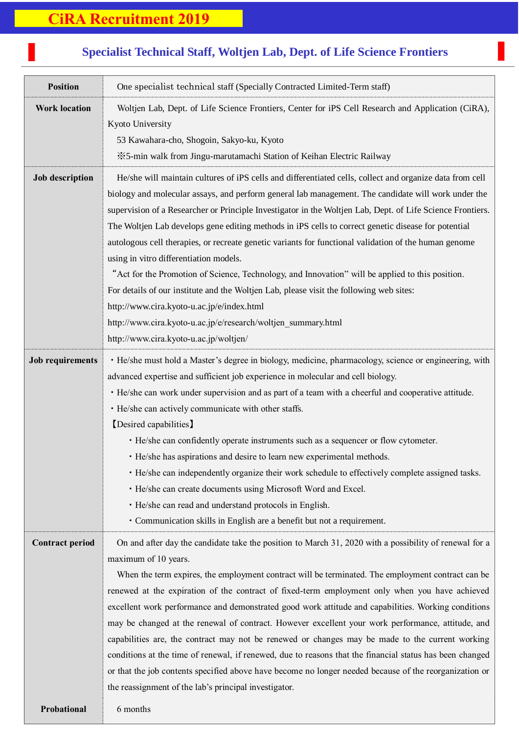## **CiRA Recruitment 2019**

## **Position** One specialist technical staff (Specially Contracted Limited-Term staff) Work location Woltjen Lab, Dept. of Life Science Frontiers, Center for iPS Cell Research and Application (CiRA), Kyoto University 53 Kawahara-cho, Shogoin, Sakyo-ku, Kyoto ※5-min walk from Jingu-marutamachi Station of Keihan Electric Railway **Job description** He/she will maintain cultures of iPS cells and differentiated cells, collect and organize data from cell biology and molecular assays, and perform general lab management. The candidate will work under the supervision of a Researcher or Principle Investigator in the Woltjen Lab, Dept. of Life Science Frontiers. The Woltjen Lab develops gene editing methods in iPS cells to correct genetic disease for potential autologous cell therapies, or recreate genetic variants for functional validation of the human genome using in vitro differentiation models. "Act for the Promotion of Science, Technology, and Innovation" will be applied to this position. For details of our institute and the Woltjen Lab, please visit the following web sites: <http://www.cira.kyoto-u.ac.jp/e/index.html> http://www.cira.kyoto-u.ac.jp/e/research/woltien\_summary.html http://www.cira.kyoto-u.ac.jp/woltjen/ **Job requirements** • He/she must hold a Master's degree in biology, medicine, pharmacology, science or engineering, with advanced expertise and sufficient job experience in molecular and cell biology. ・He/she can work under supervision and as part of a team with a cheerful and cooperative attitude. ・He/she can actively communicate with other staffs. 【Desired capabilities】 ・He/she can confidently operate instruments such as a sequencer or flow cytometer. ・He/she has aspirations and desire to learn new experimental methods. ・He/she can independently organize their work schedule to effectively complete assigned tasks. ・He/she can create documents using Microsoft Word and Excel. ・He/she can read and understand protocols in English. ・Communication skills in English are a benefit but not a requirement. **Contract period** On and after day the candidate take the position to March 31, 2020 with a possibility of renewal for a maximum of 10 years. When the term expires, the employment contract will be terminated. The employment contract can be renewed at the expiration of the contract of fixed-term employment only when you have achieved excellent work performance and demonstrated good work attitude and capabilities. Working conditions may be changed at the renewal of contract. However excellent your work performance, attitude, and capabilities are, the contract may not be renewed or changes may be made to the current working conditions at the time of renewal, if renewed, due to reasons that the financial status has been changed or that the job contents specified above have become no longer needed because of the reorganization or

## **Specialist Technical Staff, Woltjen Lab, Dept. of Life Science Frontiers**

7<br>7<br>7

**Probational** 6 months

the reassignment of the lab's principal investigator.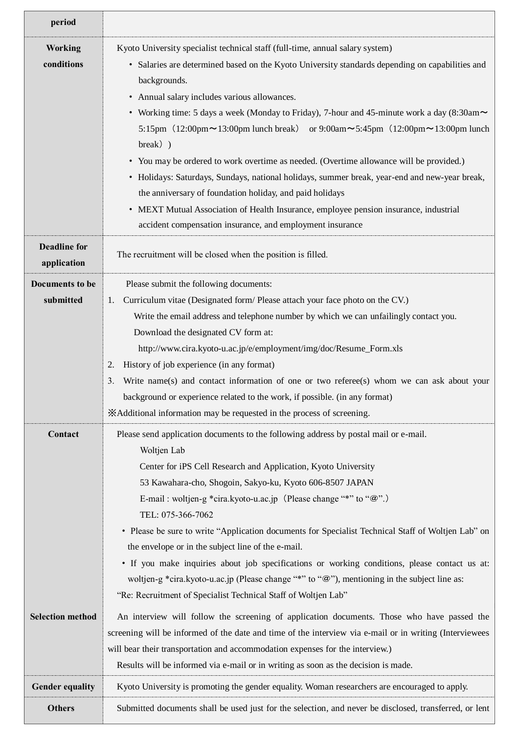| period                             |                                                                                                                                                                                               |
|------------------------------------|-----------------------------------------------------------------------------------------------------------------------------------------------------------------------------------------------|
| <b>Working</b>                     | Kyoto University specialist technical staff (full-time, annual salary system)                                                                                                                 |
| conditions                         | • Salaries are determined based on the Kyoto University standards depending on capabilities and                                                                                               |
|                                    | backgrounds.                                                                                                                                                                                  |
|                                    | • Annual salary includes various allowances.                                                                                                                                                  |
|                                    | • Working time: 5 days a week (Monday to Friday), 7-hour and 45-minute work a day (8:30am $\sim$                                                                                              |
|                                    | 5:15pm $(12:00 \text{pm} \sim 13:00 \text{pm} \text{ lunch break})$ or 9:00am $\sim$ 5:45pm $(12:00 \text{pm} \sim 13:00 \text{pm} \text{ lunch}$                                             |
|                                    | $break)$ )                                                                                                                                                                                    |
|                                    | • You may be ordered to work overtime as needed. (Overtime allowance will be provided.)                                                                                                       |
|                                    | • Holidays: Saturdays, Sundays, national holidays, summer break, year-end and new-year break,                                                                                                 |
|                                    | the anniversary of foundation holiday, and paid holidays                                                                                                                                      |
|                                    | • MEXT Mutual Association of Health Insurance, employee pension insurance, industrial                                                                                                         |
|                                    | accident compensation insurance, and employment insurance                                                                                                                                     |
| <b>Deadline</b> for<br>application | The recruitment will be closed when the position is filled.                                                                                                                                   |
| Documents to be                    | Please submit the following documents:                                                                                                                                                        |
| submitted                          | Curriculum vitae (Designated form/Please attach your face photo on the CV.)<br>1.                                                                                                             |
|                                    | Write the email address and telephone number by which we can unfailingly contact you.                                                                                                         |
|                                    | Download the designated CV form at:                                                                                                                                                           |
|                                    | http://www.cira.kyoto-u.ac.jp/e/employment/img/doc/Resume_Form.xls                                                                                                                            |
|                                    | History of job experience (in any format)<br>2.                                                                                                                                               |
|                                    | Write name(s) and contact information of one or two referee(s) whom we can ask about your<br>3.                                                                                               |
|                                    | background or experience related to the work, if possible. (in any format)                                                                                                                    |
|                                    | *Additional information may be requested in the process of screening.                                                                                                                         |
| Contact                            | Please send application documents to the following address by postal mail or e-mail.                                                                                                          |
|                                    | Woltjen Lab                                                                                                                                                                                   |
|                                    | Center for iPS Cell Research and Application, Kyoto University                                                                                                                                |
|                                    | 53 Kawahara-cho, Shogoin, Sakyo-ku, Kyoto 606-8507 JAPAN                                                                                                                                      |
|                                    | E-mail: woltjen-g *cira.kyoto-u.ac.jp (Please change "*" to "@".)                                                                                                                             |
|                                    | TEL: 075-366-7062                                                                                                                                                                             |
|                                    | • Please be sure to write "Application documents for Specialist Technical Staff of Woltjen Lab" on                                                                                            |
|                                    | the envelope or in the subject line of the e-mail.                                                                                                                                            |
|                                    | • If you make inquiries about job specifications or working conditions, please contact us at:<br>woltjen-g *cira.kyoto-u.ac.jp (Please change "*" to "@"), mentioning in the subject line as: |
|                                    | "Re: Recruitment of Specialist Technical Staff of Woltjen Lab"                                                                                                                                |
|                                    |                                                                                                                                                                                               |
| <b>Selection method</b>            | An interview will follow the screening of application documents. Those who have passed the                                                                                                    |
|                                    | screening will be informed of the date and time of the interview via e-mail or in writing (Interviewees                                                                                       |
|                                    | will bear their transportation and accommodation expenses for the interview.)<br>Results will be informed via e-mail or in writing as soon as the decision is made.                           |
|                                    |                                                                                                                                                                                               |
| <b>Gender equality</b>             | Kyoto University is promoting the gender equality. Woman researchers are encouraged to apply.                                                                                                 |
| <b>Others</b>                      | Submitted documents shall be used just for the selection, and never be disclosed, transferred, or lent                                                                                        |